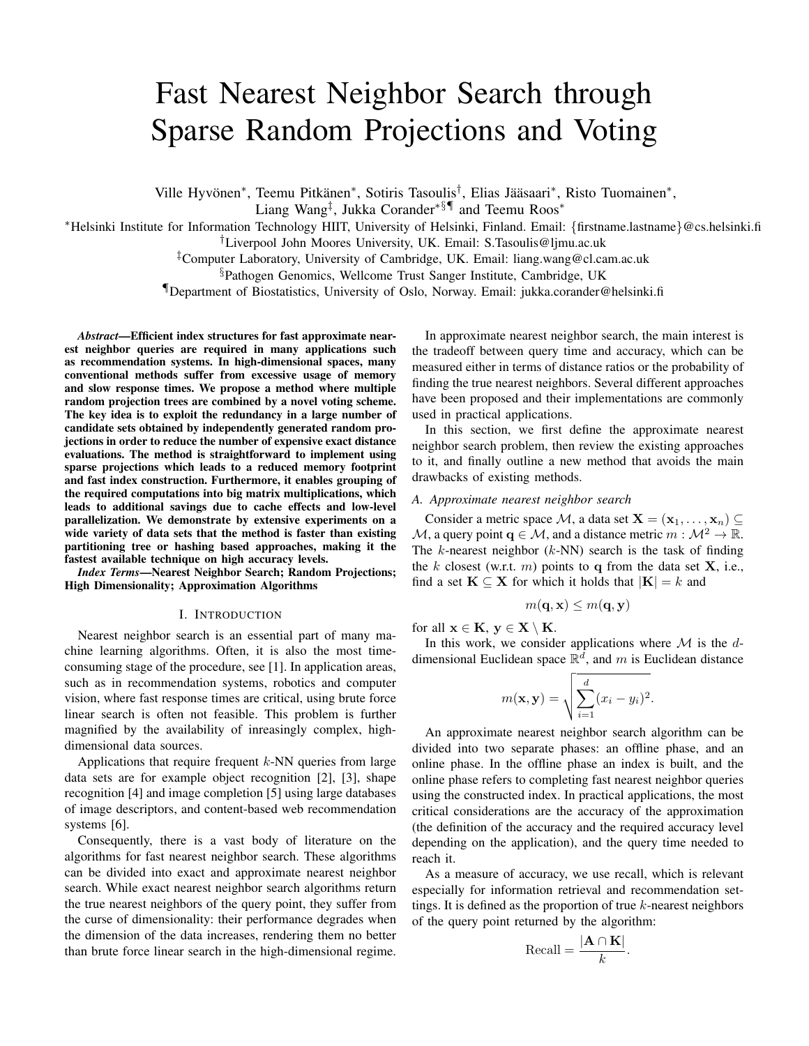# Fast Nearest Neighbor Search through Sparse Random Projections and Voting

Ville Hyvönen<sup>\*</sup>, Teemu Pitkänen<sup>\*</sup>, Sotiris Tasoulis<sup>†</sup>, Elias Jääsaari<sup>\*</sup>, Risto Tuomainen<sup>\*</sup>,

Liang Wang‡ , Jukka Corander∗§¶ and Teemu Roos<sup>∗</sup>

<sup>∗</sup>Helsinki Institute for Information Technology HIIT, University of Helsinki, Finland. Email: {firstname.lastname}@cs.helsinki.fi

†Liverpool John Moores University, UK. Email: S.Tasoulis@ljmu.ac.uk

‡Computer Laboratory, University of Cambridge, UK. Email: liang.wang@cl.cam.ac.uk

§Pathogen Genomics, Wellcome Trust Sanger Institute, Cambridge, UK

¶Department of Biostatistics, University of Oslo, Norway. Email: jukka.corander@helsinki.fi

*Abstract*—Efficient index structures for fast approximate nearest neighbor queries are required in many applications such as recommendation systems. In high-dimensional spaces, many conventional methods suffer from excessive usage of memory and slow response times. We propose a method where multiple random projection trees are combined by a novel voting scheme. The key idea is to exploit the redundancy in a large number of candidate sets obtained by independently generated random projections in order to reduce the number of expensive exact distance evaluations. The method is straightforward to implement using sparse projections which leads to a reduced memory footprint and fast index construction. Furthermore, it enables grouping of the required computations into big matrix multiplications, which leads to additional savings due to cache effects and low-level parallelization. We demonstrate by extensive experiments on a wide variety of data sets that the method is faster than existing partitioning tree or hashing based approaches, making it the fastest available technique on high accuracy levels.

*Index Terms*—Nearest Neighbor Search; Random Projections; High Dimensionality; Approximation Algorithms

# I. INTRODUCTION

Nearest neighbor search is an essential part of many machine learning algorithms. Often, it is also the most timeconsuming stage of the procedure, see [1]. In application areas, such as in recommendation systems, robotics and computer vision, where fast response times are critical, using brute force linear search is often not feasible. This problem is further magnified by the availability of inreasingly complex, highdimensional data sources.

Applications that require frequent  $k$ -NN queries from large data sets are for example object recognition [2], [3], shape recognition [4] and image completion [5] using large databases of image descriptors, and content-based web recommendation systems [6].

Consequently, there is a vast body of literature on the algorithms for fast nearest neighbor search. These algorithms can be divided into exact and approximate nearest neighbor search. While exact nearest neighbor search algorithms return the true nearest neighbors of the query point, they suffer from the curse of dimensionality: their performance degrades when the dimension of the data increases, rendering them no better than brute force linear search in the high-dimensional regime.

In approximate nearest neighbor search, the main interest is the tradeoff between query time and accuracy, which can be measured either in terms of distance ratios or the probability of finding the true nearest neighbors. Several different approaches have been proposed and their implementations are commonly used in practical applications.

In this section, we first define the approximate nearest neighbor search problem, then review the existing approaches to it, and finally outline a new method that avoids the main drawbacks of existing methods.

# *A. Approximate nearest neighbor search*

Consider a metric space M, a data set  $X = (x_1, \ldots, x_n)$ M, a query point  $q \in M$ , and a distance metric  $m : M^2 \to \mathbb{R}$ . The  $k$ -nearest neighbor  $(k-NN)$  search is the task of finding the k closest (w.r.t.  $m$ ) points to q from the data set  $X$ , i.e., find a set  $\mathbf{K} \subseteq \mathbf{X}$  for which it holds that  $|\mathbf{K}| = k$  and

$$
m(\mathbf{q}, \mathbf{x}) \leq m(\mathbf{q}, \mathbf{y})
$$

for all  $x \in K$ ,  $y \in X \setminus K$ .

In this work, we consider applications where  $\mathcal M$  is the  $d$ dimensional Euclidean space  $\mathbb{R}^d$ , and m is Euclidean distance

$$
m(\mathbf{x}, \mathbf{y}) = \sqrt{\sum_{i=1}^{d} (x_i - y_i)^2}.
$$

An approximate nearest neighbor search algorithm can be divided into two separate phases: an offline phase, and an online phase. In the offline phase an index is built, and the online phase refers to completing fast nearest neighbor queries using the constructed index. In practical applications, the most critical considerations are the accuracy of the approximation (the definition of the accuracy and the required accuracy level depending on the application), and the query time needed to reach it.

As a measure of accuracy, we use recall, which is relevant especially for information retrieval and recommendation settings. It is defined as the proportion of true  $k$ -nearest neighbors of the query point returned by the algorithm:

$$
\text{Recall} = \frac{|\mathbf{A} \cap \mathbf{K}|}{k}.
$$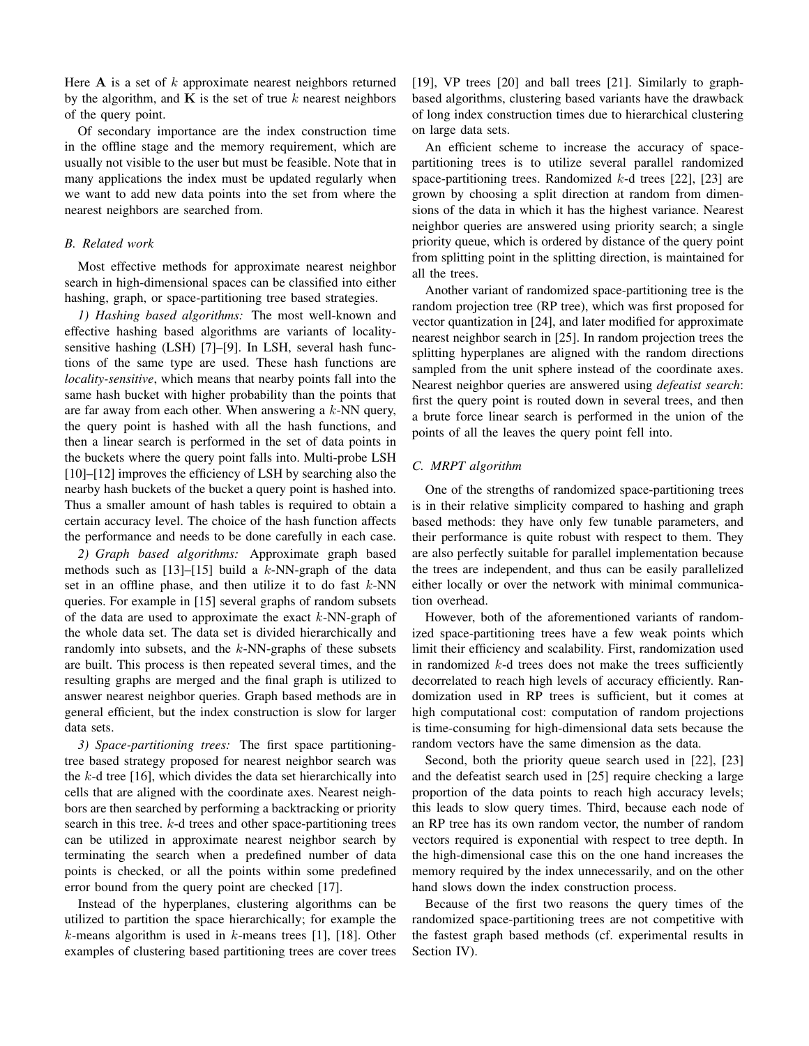Here  $A$  is a set of k approximate nearest neighbors returned by the algorithm, and  $\bf{K}$  is the set of true k nearest neighbors of the query point.

Of secondary importance are the index construction time in the offline stage and the memory requirement, which are usually not visible to the user but must be feasible. Note that in many applications the index must be updated regularly when we want to add new data points into the set from where the nearest neighbors are searched from.

# *B. Related work*

Most effective methods for approximate nearest neighbor search in high-dimensional spaces can be classified into either hashing, graph, or space-partitioning tree based strategies.

*1) Hashing based algorithms:* The most well-known and effective hashing based algorithms are variants of localitysensitive hashing (LSH) [7]–[9]. In LSH, several hash functions of the same type are used. These hash functions are *locality-sensitive*, which means that nearby points fall into the same hash bucket with higher probability than the points that are far away from each other. When answering a  $k$ -NN query, the query point is hashed with all the hash functions, and then a linear search is performed in the set of data points in the buckets where the query point falls into. Multi-probe LSH [10]–[12] improves the efficiency of LSH by searching also the nearby hash buckets of the bucket a query point is hashed into. Thus a smaller amount of hash tables is required to obtain a certain accuracy level. The choice of the hash function affects the performance and needs to be done carefully in each case.

*2) Graph based algorithms:* Approximate graph based methods such as  $[13]$ – $[15]$  build a k-NN-graph of the data set in an offline phase, and then utilize it to do fast  $k$ -NN queries. For example in [15] several graphs of random subsets of the data are used to approximate the exact  $k$ -NN-graph of the whole data set. The data set is divided hierarchically and randomly into subsets, and the  $k$ -NN-graphs of these subsets are built. This process is then repeated several times, and the resulting graphs are merged and the final graph is utilized to answer nearest neighbor queries. Graph based methods are in general efficient, but the index construction is slow for larger data sets.

*3) Space-partitioning trees:* The first space partitioningtree based strategy proposed for nearest neighbor search was the  $k$ -d tree [16], which divides the data set hierarchically into cells that are aligned with the coordinate axes. Nearest neighbors are then searched by performing a backtracking or priority search in this tree.  $k$ -d trees and other space-partitioning trees can be utilized in approximate nearest neighbor search by terminating the search when a predefined number of data points is checked, or all the points within some predefined error bound from the query point are checked [17].

Instead of the hyperplanes, clustering algorithms can be utilized to partition the space hierarchically; for example the  $k$ -means algorithm is used in  $k$ -means trees [1], [18]. Other examples of clustering based partitioning trees are cover trees [19], VP trees [20] and ball trees [21]. Similarly to graphbased algorithms, clustering based variants have the drawback of long index construction times due to hierarchical clustering on large data sets.

An efficient scheme to increase the accuracy of spacepartitioning trees is to utilize several parallel randomized space-partitioning trees. Randomized  $k$ -d trees [22], [23] are grown by choosing a split direction at random from dimensions of the data in which it has the highest variance. Nearest neighbor queries are answered using priority search; a single priority queue, which is ordered by distance of the query point from splitting point in the splitting direction, is maintained for all the trees.

Another variant of randomized space-partitioning tree is the random projection tree (RP tree), which was first proposed for vector quantization in [24], and later modified for approximate nearest neighbor search in [25]. In random projection trees the splitting hyperplanes are aligned with the random directions sampled from the unit sphere instead of the coordinate axes. Nearest neighbor queries are answered using *defeatist search*: first the query point is routed down in several trees, and then a brute force linear search is performed in the union of the points of all the leaves the query point fell into.

# *C. MRPT algorithm*

One of the strengths of randomized space-partitioning trees is in their relative simplicity compared to hashing and graph based methods: they have only few tunable parameters, and their performance is quite robust with respect to them. They are also perfectly suitable for parallel implementation because the trees are independent, and thus can be easily parallelized either locally or over the network with minimal communication overhead.

However, both of the aforementioned variants of randomized space-partitioning trees have a few weak points which limit their efficiency and scalability. First, randomization used in randomized  $k$ -d trees does not make the trees sufficiently decorrelated to reach high levels of accuracy efficiently. Randomization used in RP trees is sufficient, but it comes at high computational cost: computation of random projections is time-consuming for high-dimensional data sets because the random vectors have the same dimension as the data.

Second, both the priority queue search used in [22], [23] and the defeatist search used in [25] require checking a large proportion of the data points to reach high accuracy levels; this leads to slow query times. Third, because each node of an RP tree has its own random vector, the number of random vectors required is exponential with respect to tree depth. In the high-dimensional case this on the one hand increases the memory required by the index unnecessarily, and on the other hand slows down the index construction process.

Because of the first two reasons the query times of the randomized space-partitioning trees are not competitive with the fastest graph based methods (cf. experimental results in Section IV).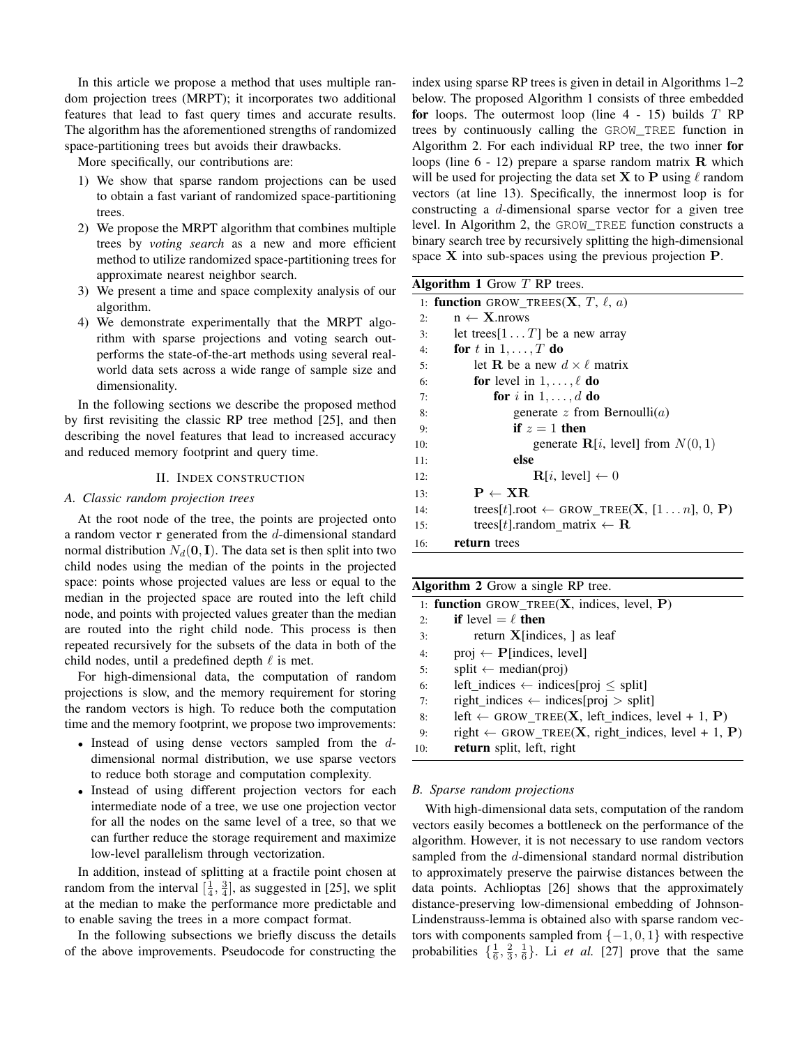In this article we propose a method that uses multiple random projection trees (MRPT); it incorporates two additional features that lead to fast query times and accurate results. The algorithm has the aforementioned strengths of randomized space-partitioning trees but avoids their drawbacks.

More specifically, our contributions are:

- 1) We show that sparse random projections can be used to obtain a fast variant of randomized space-partitioning trees.
- 2) We propose the MRPT algorithm that combines multiple trees by *voting search* as a new and more efficient method to utilize randomized space-partitioning trees for approximate nearest neighbor search.
- 3) We present a time and space complexity analysis of our algorithm.
- 4) We demonstrate experimentally that the MRPT algorithm with sparse projections and voting search outperforms the state-of-the-art methods using several realworld data sets across a wide range of sample size and dimensionality.

In the following sections we describe the proposed method by first revisiting the classic RP tree method [25], and then describing the novel features that lead to increased accuracy and reduced memory footprint and query time.

# II. INDEX CONSTRUCTION

# *A. Classic random projection trees*

At the root node of the tree, the points are projected onto a random vector  $\bf{r}$  generated from the  $d$ -dimensional standard normal distribution  $N_d(\mathbf{0}, \mathbf{I})$ . The data set is then split into two child nodes using the median of the points in the projected space: points whose projected values are less or equal to the median in the projected space are routed into the left child node, and points with projected values greater than the median are routed into the right child node. This process is then repeated recursively for the subsets of the data in both of the child nodes, until a predefined depth  $\ell$  is met.

For high-dimensional data, the computation of random projections is slow, and the memory requirement for storing the random vectors is high. To reduce both the computation time and the memory footprint, we propose two improvements:

- Instead of using dense vectors sampled from the ddimensional normal distribution, we use sparse vectors to reduce both storage and computation complexity.
- Instead of using different projection vectors for each intermediate node of a tree, we use one projection vector for all the nodes on the same level of a tree, so that we can further reduce the storage requirement and maximize low-level parallelism through vectorization.

In addition, instead of splitting at a fractile point chosen at random from the interval  $\left[\frac{1}{4}, \frac{3}{4}\right]$ , as suggested in [25], we split at the median to make the performance more predictable and to enable saving the trees in a more compact format.

In the following subsections we briefly discuss the details of the above improvements. Pseudocode for constructing the index using sparse RP trees is given in detail in Algorithms 1–2 below. The proposed Algorithm 1 consists of three embedded for loops. The outermost loop (line  $4 - 15$ ) builds  $T$  RP trees by continuously calling the GROW\_TREE function in Algorithm 2. For each individual RP tree, the two inner for loops (line  $6 - 12$ ) prepare a sparse random matrix **R** which will be used for projecting the data set **X** to **P** using  $\ell$  random vectors (at line 13). Specifically, the innermost loop is for constructing a d-dimensional sparse vector for a given tree level. In Algorithm 2, the GROW\_TREE function constructs a binary search tree by recursively splitting the high-dimensional space X into sub-spaces using the previous projection P.

|     | <b>Algorithm 1</b> Grow $T$ RP trees.                                |  |  |  |  |  |
|-----|----------------------------------------------------------------------|--|--|--|--|--|
|     | 1: function GROW_TREES(X, T, $\ell$ , a)                             |  |  |  |  |  |
| 2:  | $n \leftarrow X$ .nrows                                              |  |  |  |  |  |
| 3:  | let trees [1 T] be a new array                                       |  |  |  |  |  |
| 4:  | for t in $1, \ldots, T$ do                                           |  |  |  |  |  |
| 5:  | let <b>R</b> be a new $d \times l$ matrix                            |  |  |  |  |  |
| 6:  | <b>for</b> level in $1, \ldots, \ell$ <b>do</b>                      |  |  |  |  |  |
| 7:  | for i in $1, \ldots, d$ do                                           |  |  |  |  |  |
| 8:  | generate $z$ from Bernoulli $(a)$                                    |  |  |  |  |  |
| 9:  | if $z=1$ then                                                        |  |  |  |  |  |
| 10: | generate $R[i, level]$ from $N(0, 1)$                                |  |  |  |  |  |
| 11: | else                                                                 |  |  |  |  |  |
| 12: | $\mathbf{R}[i]$ . level $\leftarrow 0$                               |  |  |  |  |  |
| 13: | $P \leftarrow \text{XR}$                                             |  |  |  |  |  |
| 14: | trees[t].root $\leftarrow$ GROW_TREE( <b>X</b> , [1n], 0, <b>P</b> ) |  |  |  |  |  |
| 15: | trees [t]. random matrix $\leftarrow \mathbf{R}$                     |  |  |  |  |  |
| 16: | return trees                                                         |  |  |  |  |  |

| <b>Algorithm 2</b> Grow a single RP tree. |                                                                               |  |  |  |  |  |
|-------------------------------------------|-------------------------------------------------------------------------------|--|--|--|--|--|
|                                           | 1: function GROW_TREE $(X, \text{ indices}, \text{level}, P)$                 |  |  |  |  |  |
| 2:                                        | <b>if</b> level $=$ $\ell$ then                                               |  |  |  |  |  |
| 3:                                        | return $X$ [indices, ] as leaf                                                |  |  |  |  |  |
| 4:                                        | $proj \leftarrow P$ [indices, level]                                          |  |  |  |  |  |
| 5:                                        | $split \leftarrow \text{median}(proj)$                                        |  |  |  |  |  |
| 6:                                        | left_indices $\leftarrow$ indices[proj $\le$ split]                           |  |  |  |  |  |
| 7:                                        | right_indices $\leftarrow$ indices[proj > split]                              |  |  |  |  |  |
| 8:                                        | left $\leftarrow$ GROW_TREE( <b>X</b> , left_indices, level + 1, <b>P</b> )   |  |  |  |  |  |
| 9:                                        | right $\leftarrow$ GROW_TREE( <b>X</b> , right_indices, level + 1, <b>P</b> ) |  |  |  |  |  |
| 10:                                       | return split, left, right                                                     |  |  |  |  |  |

## *B. Sparse random projections*

With high-dimensional data sets, computation of the random vectors easily becomes a bottleneck on the performance of the algorithm. However, it is not necessary to use random vectors sampled from the d-dimensional standard normal distribution to approximately preserve the pairwise distances between the data points. Achlioptas [26] shows that the approximately distance-preserving low-dimensional embedding of Johnson-Lindenstrauss-lemma is obtained also with sparse random vectors with components sampled from  $\{-1, 0, 1\}$  with respective probabilities  $\{\frac{1}{6}, \frac{2}{3}, \frac{1}{6}\}$ . Li *et al.* [27] prove that the same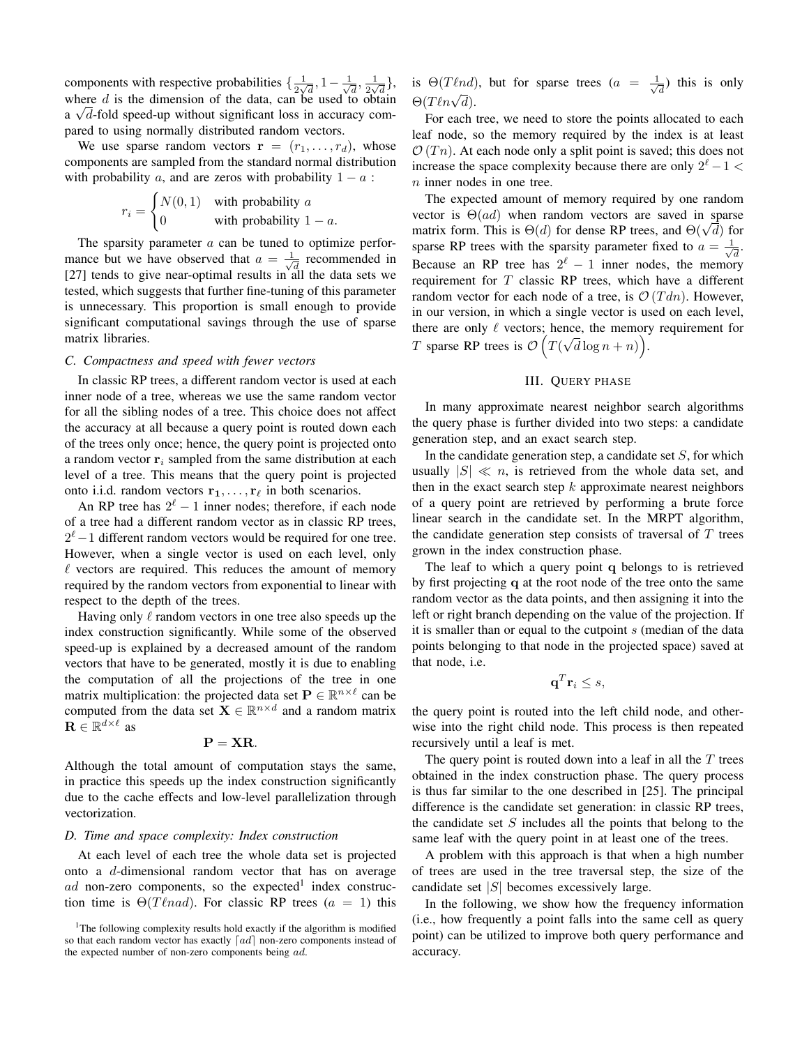components with respective probabilities  $\{\frac{1}{2\mu}\}$  $\frac{1}{2\sqrt{d}}, 1-\frac{1}{\sqrt{2}}$  $\frac{1}{d}$ ,  $\frac{1}{2v}$  $\frac{1}{2\sqrt{d}}\},\,$ where d is the dimension of the data, can be used to obtain a  $\sqrt{d}$ -fold speed-up without significant loss in accuracy compared to using normally distributed random vectors.

We use sparse random vectors  $\mathbf{r} = (r_1, \dots, r_d)$ , whose components are sampled from the standard normal distribution with probability a, and are zeros with probability  $1 - a$ :

$$
r_i = \begin{cases} N(0,1) & \text{with probability } a \\ 0 & \text{with probability } 1 - a. \end{cases}
$$

The sparsity parameter  $a$  can be tuned to optimize performance but we have observed that  $a = \frac{1}{\sqrt{2}}$  $\overline{d}$  recommended in [27] tends to give near-optimal results in all the data sets we tested, which suggests that further fine-tuning of this parameter is unnecessary. This proportion is small enough to provide significant computational savings through the use of sparse matrix libraries.

## *C. Compactness and speed with fewer vectors*

In classic RP trees, a different random vector is used at each inner node of a tree, whereas we use the same random vector for all the sibling nodes of a tree. This choice does not affect the accuracy at all because a query point is routed down each of the trees only once; hence, the query point is projected onto a random vector  $r_i$  sampled from the same distribution at each level of a tree. This means that the query point is projected onto i.i.d. random vectors  $\mathbf{r}_1, \ldots, \mathbf{r}_{\ell}$  in both scenarios.

An RP tree has  $2^{\ell} - 1$  inner nodes; therefore, if each node of a tree had a different random vector as in classic RP trees,  $2^{\ell}-1$  different random vectors would be required for one tree. However, when a single vector is used on each level, only  $\ell$  vectors are required. This reduces the amount of memory required by the random vectors from exponential to linear with respect to the depth of the trees.

Having only  $\ell$  random vectors in one tree also speeds up the index construction significantly. While some of the observed speed-up is explained by a decreased amount of the random vectors that have to be generated, mostly it is due to enabling the computation of all the projections of the tree in one matrix multiplication: the projected data set  $\mathbf{P} \in \mathbb{R}^{n \times \ell}$  can be computed from the data set  $\mathbf{X} \in \mathbb{R}^{n \times d}$  and a random matrix  $\mathbf{R} \in \mathbb{R}^{d \times \ell}$  as

$$
\mathbf{P}=\mathbf{X}\mathbf{R}.
$$

Although the total amount of computation stays the same, in practice this speeds up the index construction significantly due to the cache effects and low-level parallelization through vectorization.

#### *D. Time and space complexity: Index construction*

At each level of each tree the whole data set is projected onto a d-dimensional random vector that has on average ad non-zero components, so the expected<sup>1</sup> index construction time is  $\Theta(T \ell nad)$ . For classic RP trees (a = 1) this is  $\Theta(T \ell nd)$ , but for sparse trees  $(a = \frac{1}{\sqrt{2}})$  $\frac{1}{d}$ ) this is only  $\Theta(T\ell n\sqrt{d}).$ 

For each tree, we need to store the points allocated to each leaf node, so the memory required by the index is at least  $\mathcal{O}(T_n)$ . At each node only a split point is saved; this does not increase the space complexity because there are only  $2^{\ell} - 1 <$ n inner nodes in one tree.

The expected amount of memory required by one random vector is  $\Theta(ad)$  when random vectors are saved in sparse vector is  $\Theta(aa)$  when random vectors are saved in sparse<br>matrix form. This is  $\Theta(d)$  for dense RP trees, and  $\Theta(\sqrt{d})$  for sparse RP trees with the sparsity parameter fixed to  $a = \frac{1}{\sqrt{2}}$  $\overline{\overline{d}}$ . Because an RP tree has  $2^{\ell} - 1$  inner nodes, the memory requirement for  $T$  classic RP trees, which have a different random vector for each node of a tree, is  $\mathcal{O}(Tdn)$ . However, in our version, in which a single vector is used on each level, there are only  $\ell$  vectors; hence, the memory requirement for T sparse RP trees is  $\mathcal{O}(T)$ µ∪  $\overline{d}\log n + n\big)$ .

# III. QUERY PHASE

In many approximate nearest neighbor search algorithms the query phase is further divided into two steps: a candidate generation step, and an exact search step.

In the candidate generation step, a candidate set  $S$ , for which usually  $|S| \ll n$ , is retrieved from the whole data set, and then in the exact search step  $k$  approximate nearest neighbors of a query point are retrieved by performing a brute force linear search in the candidate set. In the MRPT algorithm, the candidate generation step consists of traversal of  $T$  trees grown in the index construction phase.

The leaf to which a query point q belongs to is retrieved by first projecting q at the root node of the tree onto the same random vector as the data points, and then assigning it into the left or right branch depending on the value of the projection. If it is smaller than or equal to the cutpoint  $s$  (median of the data points belonging to that node in the projected space) saved at that node, i.e.

$$
\mathbf{q}^T \mathbf{r}_i \leq s,
$$

the query point is routed into the left child node, and otherwise into the right child node. This process is then repeated recursively until a leaf is met.

The query point is routed down into a leaf in all the  $T$  trees obtained in the index construction phase. The query process is thus far similar to the one described in [25]. The principal difference is the candidate set generation: in classic RP trees, the candidate set  $S$  includes all the points that belong to the same leaf with the query point in at least one of the trees.

A problem with this approach is that when a high number of trees are used in the tree traversal step, the size of the candidate set  $|S|$  becomes excessively large.

In the following, we show how the frequency information (i.e., how frequently a point falls into the same cell as query point) can be utilized to improve both query performance and accuracy.

<sup>&</sup>lt;sup>1</sup>The following complexity results hold exactly if the algorithm is modified so that each random vector has exactly  $\lceil ad \rceil$  non-zero components instead of the expected number of non-zero components being ad.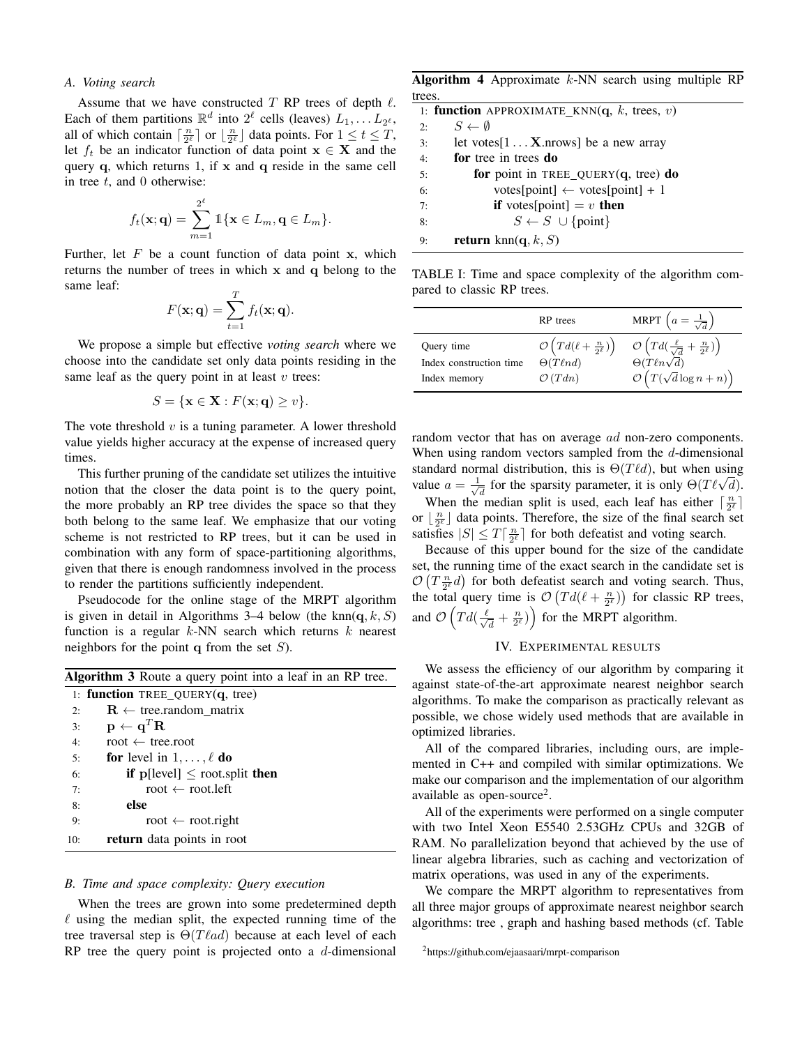# *A. Voting search*

Assume that we have constructed  $T$  RP trees of depth  $\ell$ . Each of them partitions  $\mathbb{R}^d$  into  $2^{\ell}$  cells (leaves)  $L_1, \ldots, L_{2^{\ell}}$ , all of which contain  $\lceil \frac{n}{2^{\ell}} \rceil$  or  $\lfloor \frac{n}{2^{\ell}} \rfloor$  data points. For  $1 \le t \le T$ , let  $f_t$  be an indicator function of data point  $x \in X$  and the query  $q$ , which returns 1, if  $x$  and  $q$  reside in the same cell in tree  $t$ , and 0 otherwise:

$$
f_t(\mathbf{x};\mathbf{q}) = \sum_{m=1}^{2^{\ell}} \mathbb{1}\{\mathbf{x} \in L_m, \mathbf{q} \in L_m\}.
$$

Further, let  $F$  be a count function of data point x, which returns the number of trees in which x and q belong to the same leaf:

$$
F(\mathbf{x}; \mathbf{q}) = \sum_{t=1}^{T} f_t(\mathbf{x}; \mathbf{q}).
$$

We propose a simple but effective *voting search* where we choose into the candidate set only data points residing in the same leaf as the query point in at least  $v$  trees:

$$
S = \{ \mathbf{x} \in \mathbf{X} : F(\mathbf{x}; \mathbf{q}) \ge v \}.
$$

The vote threshold  $v$  is a tuning parameter. A lower threshold value yields higher accuracy at the expense of increased query times.

This further pruning of the candidate set utilizes the intuitive notion that the closer the data point is to the query point, the more probably an RP tree divides the space so that they both belong to the same leaf. We emphasize that our voting scheme is not restricted to RP trees, but it can be used in combination with any form of space-partitioning algorithms, given that there is enough randomness involved in the process to render the partitions sufficiently independent.

Pseudocode for the online stage of the MRPT algorithm is given in detail in Algorithms 3–4 below (the knn $(q, k, S)$ function is a regular  $k$ -NN search which returns  $k$  nearest neighbors for the point  $q$  from the set  $S$ ).

|     | <b>Algorithm 3</b> Route a query point into a leaf in an RP tree. |
|-----|-------------------------------------------------------------------|
|     | 1: <b>function</b> TREE OUERY $(q, tree)$                         |
| 2.5 | $\mathbf{R} \leftarrow$ tree.random matrix                        |
| 3:  | $\mathbf{p} \leftarrow \mathbf{q}^T \mathbf{R}$                   |
| 4:  | root $\leftarrow$ tree.root                                       |
| 5:  | <b>for</b> level in $1, \ldots, \ell$ <b>do</b>                   |
| 6:  | <b>if</b> $p[level] \le$ root.split <b>then</b>                   |
| 7:  | root $\leftarrow$ root. left                                      |
| 8:  | else                                                              |
| 9:  | root $\leftarrow$ root.right                                      |
| 10: | <b>return</b> data points in root                                 |
|     |                                                                   |

## *B. Time and space complexity: Query execution*

When the trees are grown into some predetermined depth  $\ell$  using the median split, the expected running time of the tree traversal step is  $\Theta (T \ell a d)$  because at each level of each RP tree the query point is projected onto a  $d$ -dimensional

Algorithm 4 Approximate  $k$ -NN search using multiple RP trees.

|    | 1: <b>function</b> APPROXIMATE KNN(q, k, trees, v) |
|----|----------------------------------------------------|
| 2: | $S \leftarrow \emptyset$                           |
| 3: | let votes $[1 \dots X$ nrows be a new array        |
| 4: | for tree in trees do                               |
| 5: | for point in TREE_QUERY $(q,$ tree) do             |
| 6: | votes[point] $\leftarrow$ votes[point] + 1         |
| 7: | <b>if</b> votes[point] = v <b>then</b>             |
| 8: | $S \leftarrow S \cup \{\text{point}\}\$            |
| 9: | <b>return</b> knn(q, k, S)                         |

TABLE I: Time and space complexity of the algorithm compared to classic RP trees.

|                         | <b>RP</b> trees                                       | MRPT $\left(a=\frac{1}{\sqrt{d}}\right)$                               |
|-------------------------|-------------------------------------------------------|------------------------------------------------------------------------|
| Query time              | $\mathcal{O}\left(Td(\ell+\frac{n}{2^{\ell}})\right)$ | $\mathcal{O}\left(Td(\frac{\ell}{\sqrt{d}}+\frac{n}{2^{\ell}})\right)$ |
| Index construction time | $\Theta(T\ell nd)$                                    | $\Theta(T\ell n\sqrt{d})$                                              |
| Index memory            | $\mathcal{O}(Tdn)$                                    | $\mathcal{O}\left(T(\sqrt{d}\log n + n)\right)$                        |

random vector that has on average ad non-zero components. When using random vectors sampled from the  $d$ -dimensional standard normal distribution, this is  $\Theta(T \ell d)$ , but when using value  $a = \frac{1}{\sqrt{2}}$ mal distribution, this is  $\Theta(I \ell a)$ , but when using<br>  $\frac{a}{d}$  for the sparsity parameter, it is only  $\Theta(T\ell\sqrt{d})$ .

When the median split is used, each leaf has either  $\lceil \frac{n}{2^{\ell}} \rceil$ or  $\lfloor \frac{n}{2^{\ell}} \rfloor$  data points. Therefore, the size of the final search set satisfies  $|S| \le T \lceil \frac{n}{2^{\ell}} \rceil$  for both defeatist and voting search.

Because of this upper bound for the size of the candidate set, the running time of the exact search in the candidate set is  $\mathcal{O}\left(T\frac{n}{2^{\ell}}d\right)$  for both defeatist search and voting search. Thus, the total query time is  $\mathcal{O}(Td(\ell + \frac{n}{2^{\ell}}))$  for classic RP trees, and  $\mathcal{O}\left(Td\left(\frac{\ell}{\sqrt{\ell}}\right)\right)$  $\left(\frac{1}{\overline{d}} + \frac{n}{2^{\ell}}\right)$  for the MRPT algorithm.

# IV. EXPERIMENTAL RESULTS

We assess the efficiency of our algorithm by comparing it against state-of-the-art approximate nearest neighbor search algorithms. To make the comparison as practically relevant as possible, we chose widely used methods that are available in optimized libraries.

All of the compared libraries, including ours, are implemented in C++ and compiled with similar optimizations. We make our comparison and the implementation of our algorithm available as open-source<sup>2</sup>.

All of the experiments were performed on a single computer with two Intel Xeon E5540 2.53GHz CPUs and 32GB of RAM. No parallelization beyond that achieved by the use of linear algebra libraries, such as caching and vectorization of matrix operations, was used in any of the experiments.

We compare the MRPT algorithm to representatives from all three major groups of approximate nearest neighbor search algorithms: tree , graph and hashing based methods (cf. Table

<sup>2</sup>https://github.com/ejaasaari/mrpt-comparison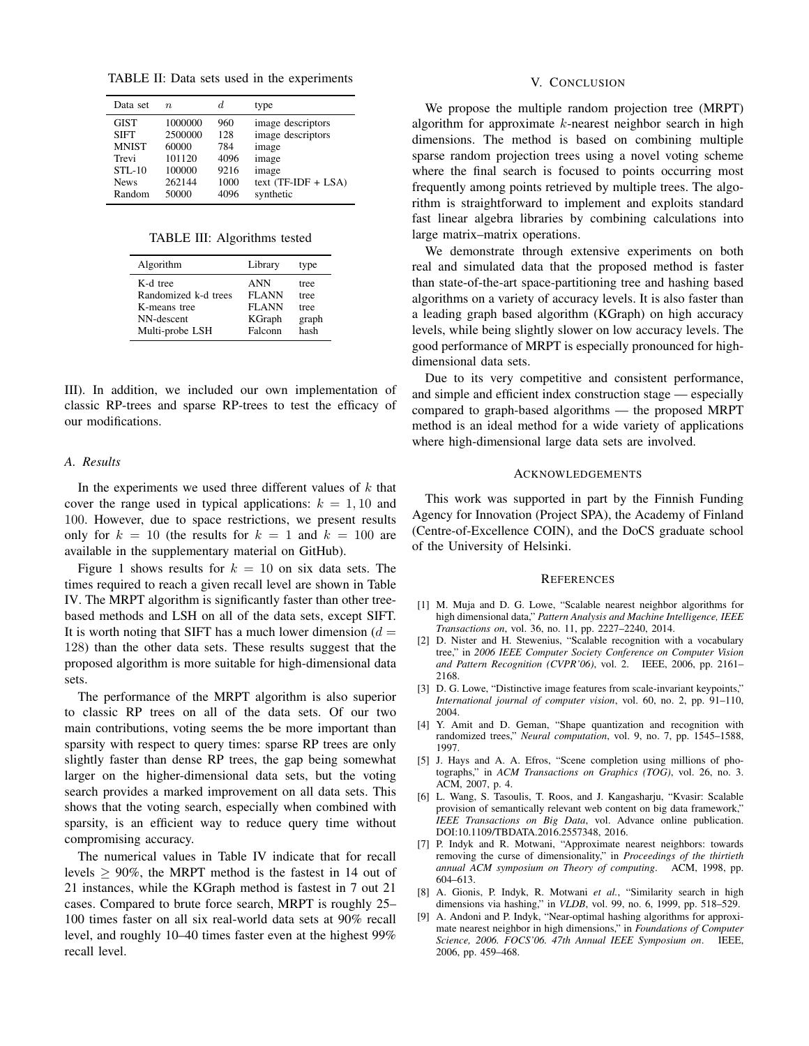TABLE II: Data sets used in the experiments

| Data set<br>d.<br>type<br>$n_{\cdot}$<br><b>GIST</b><br>1000000<br>960<br>image descriptors<br>2500000<br>image descriptors<br><b>SIFT</b><br>128<br><b>MNIST</b><br>60000<br>784<br>image<br>101120<br>4096<br>Trevi<br>image<br>100000<br>9216<br>$STL-10$<br>image<br>262144<br>1000<br>text $(TF-IDF + LSA)$<br><b>News</b><br>50000<br>4096<br>Random |  |           |
|------------------------------------------------------------------------------------------------------------------------------------------------------------------------------------------------------------------------------------------------------------------------------------------------------------------------------------------------------------|--|-----------|
|                                                                                                                                                                                                                                                                                                                                                            |  |           |
|                                                                                                                                                                                                                                                                                                                                                            |  | synthetic |

TABLE III: Algorithms tested

| Algorithm            | Library      | type  |
|----------------------|--------------|-------|
| K-d tree             | ANN          | tree  |
| Randomized k-d trees | <b>FLANN</b> | tree  |
| K-means tree         | <b>FLANN</b> | tree  |
| NN-descent           | KGraph       | graph |
| Multi-probe LSH      | Falconn      | hash  |

III). In addition, we included our own implementation of classic RP-trees and sparse RP-trees to test the efficacy of our modifications.

## *A. Results*

In the experiments we used three different values of  $k$  that cover the range used in typical applications:  $k = 1, 10$  and 100. However, due to space restrictions, we present results only for  $k = 10$  (the results for  $k = 1$  and  $k = 100$  are available in the supplementary material on GitHub).

Figure 1 shows results for  $k = 10$  on six data sets. The times required to reach a given recall level are shown in Table IV. The MRPT algorithm is significantly faster than other treebased methods and LSH on all of the data sets, except SIFT. It is worth noting that SIFT has a much lower dimension  $(d =$ 128) than the other data sets. These results suggest that the proposed algorithm is more suitable for high-dimensional data sets.

The performance of the MRPT algorithm is also superior to classic RP trees on all of the data sets. Of our two main contributions, voting seems the be more important than sparsity with respect to query times: sparse RP trees are only slightly faster than dense RP trees, the gap being somewhat larger on the higher-dimensional data sets, but the voting search provides a marked improvement on all data sets. This shows that the voting search, especially when combined with sparsity, is an efficient way to reduce query time without compromising accuracy.

The numerical values in Table IV indicate that for recall levels  $\geq 90\%$ , the MRPT method is the fastest in 14 out of 21 instances, while the KGraph method is fastest in 7 out 21 cases. Compared to brute force search, MRPT is roughly 25– 100 times faster on all six real-world data sets at 90% recall level, and roughly 10–40 times faster even at the highest 99% recall level.

#### V. CONCLUSION

We propose the multiple random projection tree (MRPT) algorithm for approximate  $k$ -nearest neighbor search in high dimensions. The method is based on combining multiple sparse random projection trees using a novel voting scheme where the final search is focused to points occurring most frequently among points retrieved by multiple trees. The algorithm is straightforward to implement and exploits standard fast linear algebra libraries by combining calculations into large matrix–matrix operations.

We demonstrate through extensive experiments on both real and simulated data that the proposed method is faster than state-of-the-art space-partitioning tree and hashing based algorithms on a variety of accuracy levels. It is also faster than a leading graph based algorithm (KGraph) on high accuracy levels, while being slightly slower on low accuracy levels. The good performance of MRPT is especially pronounced for highdimensional data sets.

Due to its very competitive and consistent performance, and simple and efficient index construction stage — especially compared to graph-based algorithms — the proposed MRPT method is an ideal method for a wide variety of applications where high-dimensional large data sets are involved.

## ACKNOWLEDGEMENTS

This work was supported in part by the Finnish Funding Agency for Innovation (Project SPA), the Academy of Finland (Centre-of-Excellence COIN), and the DoCS graduate school of the University of Helsinki.

#### **REFERENCES**

- [1] M. Muja and D. G. Lowe, "Scalable nearest neighbor algorithms for high dimensional data," *Pattern Analysis and Machine Intelligence, IEEE Transactions on*, vol. 36, no. 11, pp. 2227–2240, 2014.
- [2] D. Nister and H. Stewenius, "Scalable recognition with a vocabulary tree," in *2006 IEEE Computer Society Conference on Computer Vision and Pattern Recognition (CVPR'06)*, vol. 2. IEEE, 2006, pp. 2161– 2168.
- [3] D. G. Lowe, "Distinctive image features from scale-invariant keypoints," *International journal of computer vision*, vol. 60, no. 2, pp. 91–110, 2004.
- [4] Y. Amit and D. Geman, "Shape quantization and recognition with randomized trees," *Neural computation*, vol. 9, no. 7, pp. 1545–1588, 1997.
- [5] J. Hays and A. A. Efros, "Scene completion using millions of photographs," in *ACM Transactions on Graphics (TOG)*, vol. 26, no. 3. ACM, 2007, p. 4.
- [6] L. Wang, S. Tasoulis, T. Roos, and J. Kangasharju, "Kvasir: Scalable provision of semantically relevant web content on big data framework," *IEEE Transactions on Big Data*, vol. Advance online publication. DOI:10.1109/TBDATA.2016.2557348, 2016.
- [7] P. Indyk and R. Motwani, "Approximate nearest neighbors: towards removing the curse of dimensionality," in *Proceedings of the thirtieth annual ACM symposium on Theory of computing*. ACM, 1998, pp. 604–613.
- [8] A. Gionis, P. Indyk, R. Motwani *et al.*, "Similarity search in high dimensions via hashing," in *VLDB*, vol. 99, no. 6, 1999, pp. 518–529.
- [9] A. Andoni and P. Indyk, "Near-optimal hashing algorithms for approximate nearest neighbor in high dimensions," in *Foundations of Computer Science, 2006. FOCS'06. 47th Annual IEEE Symposium on*. IEEE, 2006, pp. 459–468.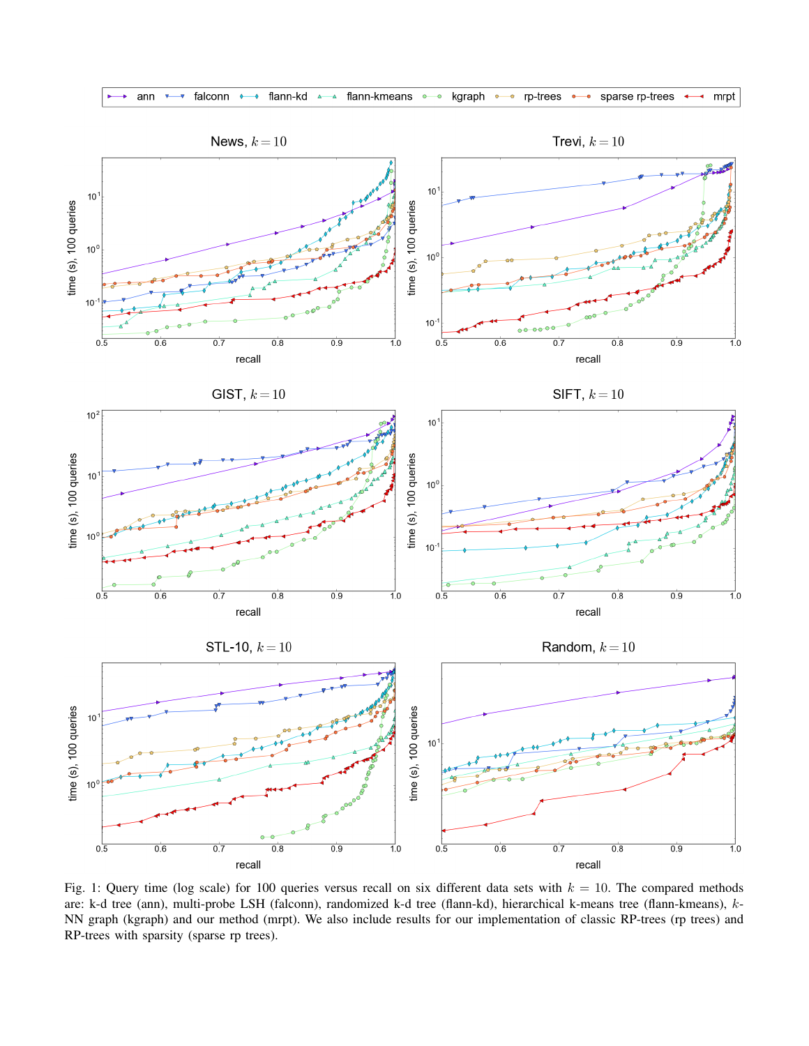



Fig. 1: Query time (log scale) for 100 queries versus recall on six different data sets with  $k = 10$ . The compared methods are: k-d tree (ann), multi-probe LSH (falconn), randomized k-d tree (flann-kd), hierarchical k-means tree (flann-kmeans), k-NN graph (kgraph) and our method (mrpt). We also include results for our implementation of classic RP-trees (rp trees) and RP-trees with sparsity (sparse rp trees).